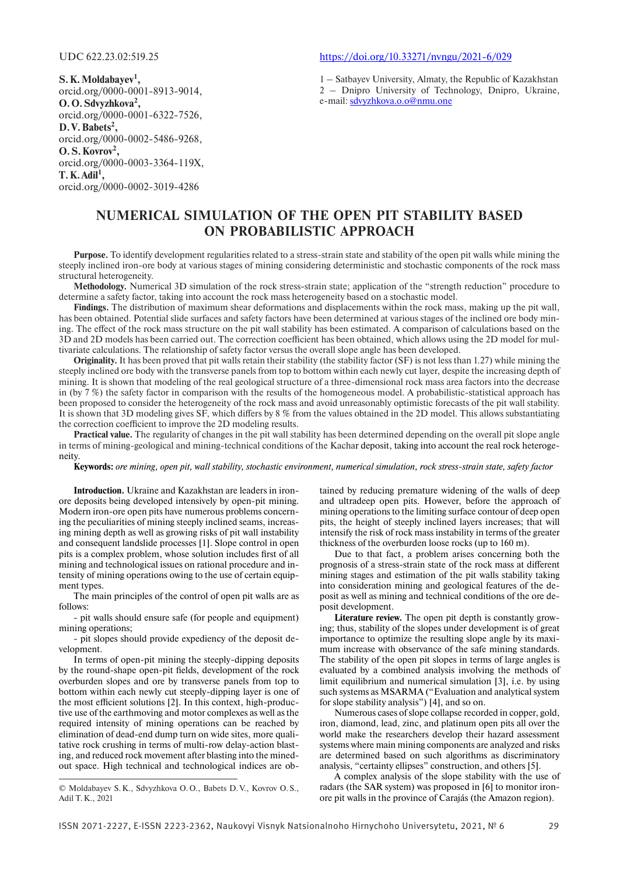**S. K. Moldabayev1 ,** orcid.org/0000-0001-8913-9014, **O. O. Sdvyzhkova2 ,** orcid.org/0000-0001-6322-7526, **D. V. Babets2 ,** orcid.org/0000-0002-5486-9268, **O. S. Kovrov2 ,** orcid.org/0000-0003-3364-119X,  $T$ **.** K. Adil<sup>1</sup>, orcid.org/0000-0002-3019-4286

### UDC 622.23.02:519.25 https://doi.org/10.33271/nvngu/2021-6/029

1 – Satbayev University, Almaty, the Republic of Kazakhstan 2 – Dnipro University of Technology, Dnipro, Ukraine, e-mail: sdvyzhkova.o.o@nmu.one

# **NUMERICAL SIMULATION OF THE OPEN PIT STABILITY BASED ON PROBABILISTIC APPROACH**

**Purpose.** To identify development regularities related to a stress-strain state and stability of the open pit walls while mining the steeply inclined iron-ore body at various stages of mining considering deterministic and stochastic components of the rock mass structural heterogeneity.

**Methodology.** Numerical 3D simulation of the rock stress-strain state; application of the "strength reduction" procedure to determine a safety factor, taking into account the rock mass heterogeneity based on a stochastic model.

**Findings.** The distribution of maximum shear deformations and displacements within the rock mass, making up the pit wall, has been obtained. Potential slide surfaces and safety factors have been determined at various stages of the inclined ore body mining. The effect of the rock mass structure on the pit wall stability has been estimated. A comparison of calculations based on the 3D and 2D models has been carried out. The correction coefficient has been obtained, which allows using the 2D model for multivariate calculations. The relationship of safety factor versus the overall slope angle has been developed.

**Originality.** It has been proved that pit walls retain their stability (the stability factor (SF) is not less than 1.27) while mining the steeply inclined ore body with the transverse panels from top to bottom within each newly cut layer, despite the increasing depth of mining. It is shown that modeling of the real geological structure of a three-dimensional rock mass area factors into the decrease in (by 7 %) the safety factor in comparison with the results of the homogeneous model. A probabilistic-statistical approach has been proposed to consider the heterogeneity of the rock mass and avoid unreasonably optimistic forecasts of the pit wall stability. It is shown that 3D modeling gives SF, which differs by 8 % from the values obtained in the 2D model. This allows substantiating the correction coefficient to improve the 2D modeling results.

**Practical value.** The regularity of changes in the pit wall stability has been determined depending on the overall pit slope angle in terms of mining-geological and mining-technical conditions of the Kachar deposit, taking into account the real rock heterogeneity.

**Keywords:** *ore mining, open pit, wall stability, stochastic environment, numerical simulation, rock stress-strain state, safety factor*

**Introduction.** Ukraine and Kazakhstan are leaders in ironore deposits being developed intensively by open-pit mining. Modern iron-ore open pits have numerous problems concerning the peculiarities of mining steeply inclined seams, increasing mining depth as well as growing risks of pit wall instability and consequent landslide processes [1]. Slope control in open pits is a complex problem, whose solution includes first of all mining and technological issues on rational procedure and intensity of mining operations owing to the use of certain equipment types.

The main principles of the control of open pit walls are as follows:

- pit walls should ensure safe (for people and equipment) mining operations;

- pit slopes should provide expediency of the deposit development.

In terms of open-pit mining the steeply-dipping deposits by the round-shape open-pit fields, development of the rock overburden slopes and ore by transverse panels from top to bottom within each newly cut steeply-dipping layer is one of the most efficient solutions [2]. In this context, high-productive use of the earthmoving and motor complexes as well as the required intensity of mining operations can be reached by elimination of dead-end dump turn on wide sites, more qualitative rock crushing in terms of multi-row delay-action blasting, and reduced rock movement after blasting into the minedout space. High technical and technological indices are obtained by reducing premature widening of the walls of deep and ultradeep open pits. However, before the approach of mining operations to the limiting surface contour of deep open pits, the height of steeply inclined layers increases; that will intensify the risk of rock mass instability in terms of the greater thickness of the overburden loose rocks (up to 160 m).

Due to that fact, a problem arises concerning both the prognosis of a stress-strain state of the rock mass at different mining stages and estimation of the pit walls stability taking into consideration mining and geological features of the deposit as well as mining and technical conditions of the ore deposit development.

**Literature review.** The open pit depth is constantly growing; thus, stability of the slopes under development is of great importance to optimize the resulting slope angle by its maximum increase with observance of the safe mining standards. The stability of the open pit slopes in terms of large angles is evaluated by a combined analysis involving the methods of limit equilibrium and numerical simulation [3], i.e. by using such systems as MSARMA ("Evaluation and analytical system for slope stability analysis") [4], and so on.

Numerous cases of slope collapse recorded in copper, gold, iron, diamond, lead, zinc, and platinum open pits all over the world make the researchers develop their hazard assessment systems where main mining components are analyzed and risks are determined based on such algorithms as discriminatory analysis, "certainty ellipses" construction, and others [5].

A complex analysis of the slope stability with the use of radars (the SAR system) was proposed in [6] to monitor ironore pit walls in the province of Carajás (the Amazon region).

<sup>©</sup> Moldabayev S. K., Sdvyzhkova O. O., Babets D. V., Kovrov O. S., Adil T. K., 2021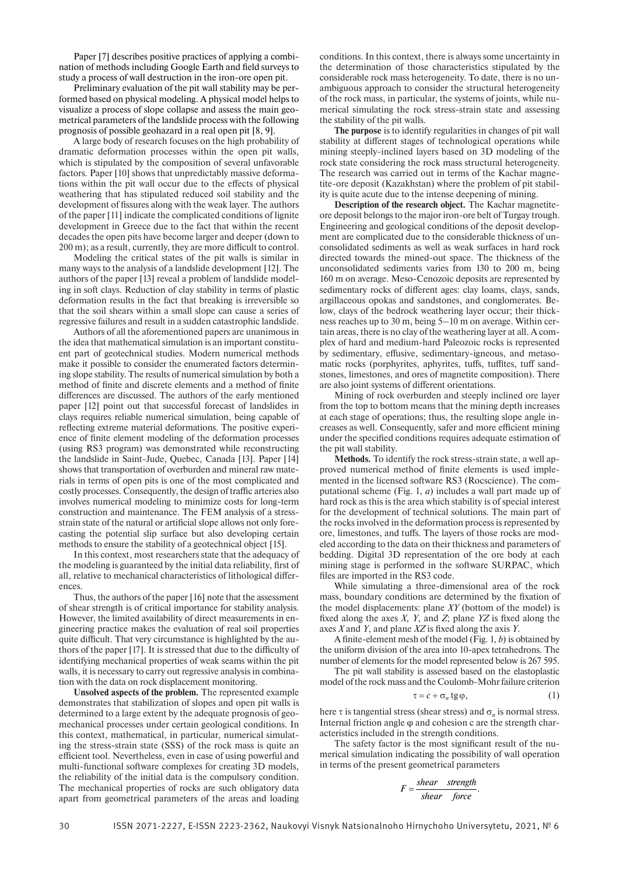Paper [7] describes positive practices of applying a combination of methods including Google Earth and field surveys to study a process of wall destruction in the iron-ore open pit.

Preliminary evaluation of the pit wall stability may be performed based on physical modeling. A physical model helps to visualize a process of slope collapse and assess the main geometrical parameters of the landslide process with the following prognosis of possible geohazard in a real open pit [8, 9].

A large body of research focuses on the high probability of dramatic deformation processes within the open pit walls, which is stipulated by the composition of several unfavorable factors. Paper [10] shows that unpredictably massive deformations within the pit wall occur due to the effects of physical weathering that has stipulated reduced soil stability and the development of fissures along with the weak layer. The authors of the paper [11] indicate the complicated conditions of lignite development in Greece due to the fact that within the recent decades the open pits have become larger and deeper (down to 200 m); as a result, currently, they are more difficult to control.

Modeling the critical states of the pit walls is similar in many ways to the analysis of a landslide development [12]. The authors of the paper [13] reveal a problem of landslide modeling in soft clays. Reduction of clay stability in terms of plastic deformation results in the fact that breaking is irreversible so that the soil shears within a small slope can cause a series of regressive failures and result in a sudden catastrophic landslide.

Authors of all the aforementioned papers are unanimous in the idea that mathematical simulation is an important constituent part of geotechnical studies. Modern numerical methods make it possible to consider the enumerated factors determining slope stability. The results of numerical simulation by both a method of finite and discrete elements and a method of finite differences are discussed. The authors of the early mentioned paper [12] point out that successful forecast of landslides in clays requires reliable numerical simulation, being capable of reflecting extreme material deformations. The positive experience of finite element modeling of the deformation processes (using RS3 program) was demonstrated while reconstructing the landslide in Saint-Jude, Quebec, Canada [13]. Paper [14] shows that transportation of overburden and mineral raw materials in terms of open pits is one of the most complicated and costly processes. Consequently, the design of traffic arteries also involves numerical modeling to minimize costs for long-term construction and maintenance. The FEM analysis of a stressstrain state of the natural or artificial slope allows not only forecasting the potential slip surface but also developing certain methods to ensure the stability of a geotechnical object [15].

In this context, most researchers state that the adequacy of the modeling is guaranteed by the initial data reliability, first of all, relative to mechanical characteristics of lithological differences.

Thus, the authors of the paper [16] note that the assessment of shear strength is of critical importance for stability analysis. However, the limited availability of direct measurements in engineering practice makes the evaluation of real soil properties quite difficult. That very circumstance is highlighted by the authors of the paper [17]. It is stressed that due to the difficulty of identifying mechanical properties of weak seams within the pit walls, it is necessary to carry out regressive analysis in combination with the data on rock displacement monitoring.

**Unsolved aspects of the problem***.* The represented example demonstrates that stabilization of slopes and open pit walls is determined to a large extent by the adequate prognosis of geomechanical processes under certain geological conditions. In this context, mathematical, in particular, numerical simulating the stress-strain state (SSS) of the rock mass is quite an efficient tool. Nevertheless, even in case of using powerful and multi-functional software complexes for creating 3D models, the reliability of the initial data is the compulsory condition. The mechanical properties of rocks are such obligatory data apart from geometrical parameters of the areas and loading conditions. In this context, there is always some uncertainty in the determination of those characteristics stipulated by the considerable rock mass heterogeneity. To date, there is no unambiguous approach to consider the structural heterogeneity of the rock mass, in particular, the systems of joints, while numerical simulating the rock stress-strain state and assessing the stability of the pit walls.

 **The purpose** is to identify regularities in changes of pit wall stability at different stages of technological operations while mining steeply-inclined layers based on 3D modeling of the rock state considering the rock mass structural heterogeneity. The research was carried out in terms of the Kachar magnetite-ore deposit (Kazakhstan) where the problem of pit stability is quite acute due to the intense deepening of mining.

**Description of the research object***.* The Kachar magnetiteore deposit belongs to the major iron-ore belt of Turgay trough. Engineering and geological conditions of the deposit development are complicated due to the considerable thickness of unconsolidated sediments as well as weak surfaces in hard rock directed towards the mined-out space. The thickness of the unconsolidated sediments varies from 130 to 200 m, being 160 m on average. Meso-Cenozoic deposits are represented by sedimentary rocks of different ages: clay loams, clays, sands, argillaceous opokas and sandstones, and conglomerates. Below, clays of the bedrock weathering layer occur; their thickness reaches up to 30 m, being 5–10 m on average. Within certain areas, there is no clay of the weathering layer at all. A complex of hard and medium-hard Paleozoic rocks is represented by sedimentary, effusive, sedimentary-igneous, and metasomatic rocks (porphyrites, aphyrites, tuffs, tuffites, tuff sandstones, limestones, and ores of magnetite composition). There are also joint systems of different orientations.

 Mining of rock overburden and steeply inclined ore layer from the top to bottom means that the mining depth increases at each stage of operations; thus, the resulting slope angle increases as well. Consequently, safer and more efficient mining under the specified conditions requires adequate estimation of the pit wall stability.

**Methods***.* To identify the rock stress-strain state, a well approved numerical method of finite elements is used implemented in the licensed software RS3 (Rocscience). The computational scheme (Fig. 1, *a*) includes a wall part made up of hard rock as this is the area which stability is of special interest for the development of technical solutions. The main part of the rocks involved in the deformation process is represented by ore, limestones, and tuffs. The layers of those rocks are modeled according to the data on their thickness and parameters of bedding. Digital 3D representation of the ore body at each mining stage is performed in the software SURPAC, which files are imported in the RS3 code.

While simulating a three-dimensional area of the rock mass, boundary conditions are determined by the fixation of the model displacements: plane *XY* (bottom of the model) is fixed along the axes  $X$ ,  $Y$ , and  $Z$ ; plane  $YZ$  is fixed along the axes *X* and *Y*, and plane *XZ* is fixed along the axis *Y*.

A finite-element mesh of the model (Fig.  $1, b$ ) is obtained by the uniform division of the area into 10-apex tetrahedrons. The number of elements for the model represented below is 267 595.

The pit wall stability is assessed based on the elastoplastic model of the rock mass and the Coulomb-Mohr failure criterion

$$
\tau = c + \sigma_n \tg \varphi,\tag{1}
$$

here  $\tau$  is tangential stress (shear stress) and  $\sigma_n$  is normal stress. Internal friction angle φ and cohesion с are the strength characteristics included in the strength conditions.

The safety factor is the most significant result of the numerical simulation indicating the possibility of wall operation in terms of the present geometrical parameters

$$
F = \frac{shear \text{ strength}}{shear \text{ force}}.
$$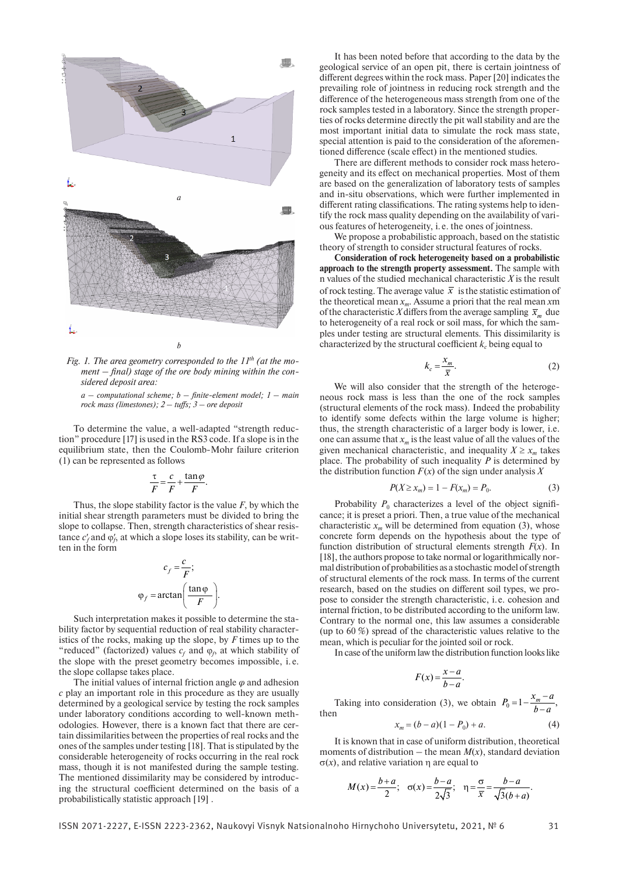

Fig. 1. The area geometry corresponded to the 11<sup>th</sup> (at the moment – final) stage of the ore body mining within the con*sidered deposit area:*

 $a$  – computational scheme;  $b$  – finite-element model;  $1$  – main *rock mass (limestones); 2 – tuffs; 3 – ore deposit* 

To determine the value, a well-adapted "strength reduction" procedure [17] is used in the RS3 code. If a slope is in the equilibrium state, then the Coulomb-Mohr failure criterion (1) can be represented as follows

$$
\frac{\tau}{F} = \frac{c}{F} + \frac{\tan \varphi}{F}.
$$

Thus, the slope stability factor is the value *F*, by which the initial shear strength parameters must be divided to bring the slope to collapse. Then, strength characteristics of shear resistance  $c_f$  and  $\varphi_f$ , at which a slope loses its stability, can be written in the form

$$
c_f = \frac{c}{F};
$$
  

$$
\varphi_f = \arctan\left(\frac{\tan \varphi}{F}\right).
$$

Such interpretation makes it possible to determine the stability factor by sequential reduction of real stability characteristics of the rocks, making up the slope, by *F* times up to the "reduced" (factorized) values  $c_f$  and  $\varphi_f$ , at which stability of the slope with the preset geometry becomes impossible, i. e. the slope collapse takes place.

The initial values of internal friction angle *φ* and adhesion *с* play an important role in this procedure as they are usually determined by a geological service by testing the rock samples under laboratory conditions according to well-known methodologies. However, there is a known fact that there are certain dissimilarities between the properties of real rocks and the ones of the samples under testing [18]. That is stipulated by the considerable heterogeneity of rocks occurring in the real rock mass, though it is not manifested during the sample testing. The mentioned dissimilarity may be considered by introducing the structural coefficient determined on the basis of a probabilistically statistic approach [19] .

It has been noted before that according to the data by the geological service of an open pit, there is certain jointness of different degrees within the rock mass. Paper [20] indicates the prevailing role of jointness in reducing rock strength and the difference of the heterogeneous mass strength from one of the rock samples tested in a laboratory. Since the strength properties of rocks determine directly the pit wall stability and are the most important initial data to simulate the rock mass state, special attention is paid to the consideration of the aforementioned difference (scale effect) in the mentioned studies.

There are different methods to consider rock mass heterogeneity and its effect on mechanical properties. Most of them are based on the generalization of laboratory tests of samples and in-situ observations, which were further implemented in different rating classifications. The rating systems help to identify the rock mass quality depending on the availability of various features of heterogeneity, i. e. the ones of jointness.

We propose a probabilistic approach, based on the statistic theory of strength to consider structural features of rocks.

**Consideration of rock heterogeneity based on a probabilistic approach to the strength property assessment.** The sample with n values of the studied mechanical characteristic *X* is the result of rock testing. The average value  $\bar{x}$  is the statistic estimation of the theoretical mean  $x_m$ . Assume a priori that the real mean  $x_m$ of the characteristic *X* differs from the average sampling  $\bar{x}_m$  due to heterogeneity of a real rock or soil mass, for which the samples under testing are structural elements. This dissimilarity is characterized by the structural coefficient  $k_c$  being equal to

$$
k_c = \frac{x_m}{\overline{x}}.\tag{2}
$$

We will also consider that the strength of the heterogeneous rock mass is less than the one of the rock samples (structural elements of the rock mass). Indeed the probability to identify some defects within the large volume is higher; thus, the strength characteristic of a larger body is lower, i.e. one can assume that  $x_m$  is the least value of all the values of the given mechanical characteristic, and inequality  $X \ge x_m$  takes place. The probability of such inequality  $P$  is determined by the distribution function  $F(x)$  of the sign under analysis X

$$
P(X \ge x_m) = 1 - F(x_m) = P_0.
$$
 (3)

Probability  $P_0$  characterizes a level of the object significance; it is preset a priori. Then, a true value of the mechanical characteristic  $x_m$  will be determined from equation (3), whose concrete form depends on the hypothesis about the type of function distribution of structural elements strength *F*(*x*). In [18], the authors propose to take normal or logarithmically normal distribution of probabilities as a stochastic model of strength of structural elements of the rock mass. In terms of the current research, based on the studies on different soil types, we propose to consider the strength characteristic, i. e. cohesion and internal friction, to be distributed according to the uniform law. Contrary to the normal one, this law assumes a considerable (up to 60 %) spread of the characteristic values relative to the mean, which is peculiar for the jointed soil or rock.

In case of the uniform law the distribution function looks like

$$
F(x) = \frac{x - a}{b - a}.
$$

Taking into consideration (3), we obtain  $P_0 = 1 - \frac{x_m - a}{b - a}$ , then

$$
x_m = (b - a)(1 - P_0) + a.
$$
 (4)

It is known that in case of uniform distribution, theoretical moments of distribution – the mean  $M(x)$ , standard deviation  $\sigma(x)$ , and relative variation  $\eta$  are equal to

$$
M(x) = \frac{b+a}{2}; \quad \sigma(x) = \frac{b-a}{2\sqrt{3}}; \quad \eta = \frac{\sigma}{\bar{x}} = \frac{b-a}{\sqrt{3(b+a)}}.
$$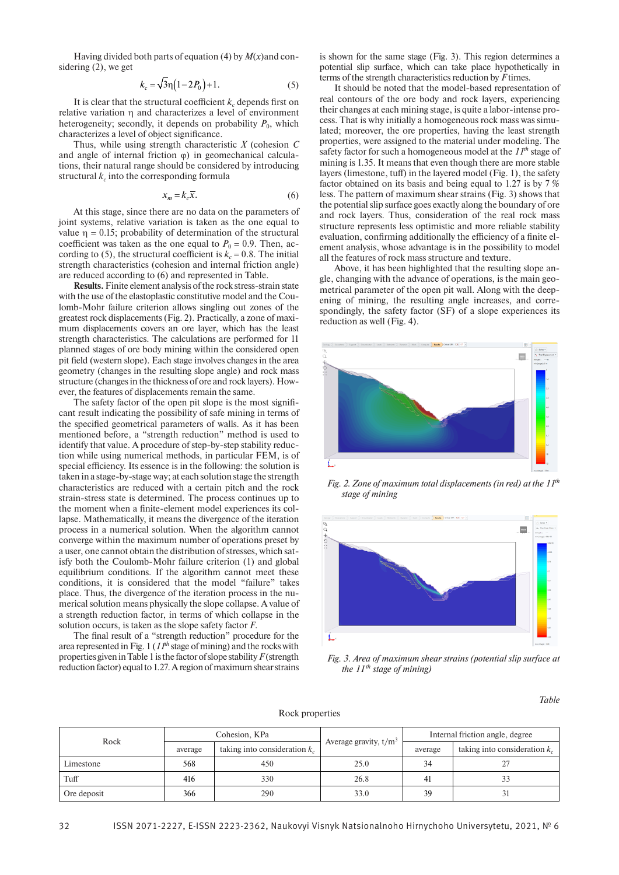Having divided both parts of equation (4) by *M*(*x*)and considering (2), we get

$$
k_c = \sqrt{3}\eta (1 - 2P_0) + 1.
$$
 (5)

It is clear that the structural coefficient  $k<sub>c</sub>$  depends first on relative variation  $\eta$  and characterizes a level of environment heterogeneity; secondly, it depends on probability  $P_0$ , which characterizes a level of object significance.

Thus, while using strength characteristic *X* (cohesion *C* and angle of internal friction  $\omega$ ) in geomechanical calculations, their natural range should be considered by introducing structural  $k_c$  into the corresponding formula

$$
x_m = k_c \overline{x}.\tag{6}
$$

At this stage, since there are no data on the parameters of joint systems, relative variation is taken as the one equal to value  $\eta = 0.15$ ; probability of determination of the structural coefficient was taken as the one equal to  $P_0 = 0.9$ . Then, according to (5), the structural coefficient is  $k_c = 0.8$ . The initial strength characteristics (cohesion and internal friction angle) are reduced according to (6) and represented in Table.

**Results.** Finite element analysis of the rock stress-strain state with the use of the elastoplastic constitutive model and the Coulomb-Mohr failure criterion allows singling out zones of the greatest rock displacements (Fig. 2). Practically, a zone of maximum displacements covers an ore layer, which has the least strength characteristics. The calculations are performed for 11 planned stages of ore body mining within the considered open pit field (western slope). Each stage involves changes in the area geometry (changes in the resulting slope angle) and rock mass structure (changes in the thickness of ore and rock layers). However, the features of displacements remain the same.

The safety factor of the open pit slope is the most significant result indicating the possibility of safe mining in terms of the specified geometrical parameters of walls. As it has been mentioned before, a "strength reduction" method is used to identify that value. A procedure of step-by-step stability reduction while using numerical methods, in particular FEM, is of special efficiency. Its essence is in the following: the solution is taken in a stage-by-stage way; at each solution stage the strength characteristics are reduced with a certain pitch and the rock strain-stress state is determined. The process continues up to the moment when a finite-element model experiences its collapse. Mathematically, it means the divergence of the iteration process in a numerical solution. When the algorithm cannot converge within the maximum number of operations preset by a user, one cannot obtain the distribution of stresses, which satisfy both the Coulomb-Mohr failure criterion (1) and global equilibrium conditions. If the algorithm cannot meet these conditions, it is considered that the model "failure" takes place. Thus, the divergence of the iteration process in the numerical solution means physically the slope collapse. A value of a strength reduction factor, in terms of which collapse in the solution occurs, is taken as the slope safety factor *F*.

The final result of a "strength reduction" procedure for the area represented in Fig. 1 (*11th* stage of mining) and the rocks with properties given in Table 1 is the factor of slope stability *F* (strength reduction factor) equal to 1.27. A region of maximum shear strains

is shown for the same stage (Fig. 3). This region determines a potential slip surface, which can take place hypothetically in terms of the strength characteristics reduction by *F* times.

It should be noted that the model-based representation of real contours of the ore body and rock layers, experiencing their changes at each mining stage, is quite a labor-intense process. That is why initially a homogeneous rock mass was simulated; moreover, the ore properties, having the least strength properties, were assigned to the material under modeling. The safety factor for such a homogeneous model at the 11<sup>th</sup> stage of mining is 1.35. It means that even though there are more stable layers (limestone, tuff) in the layered model (Fig. 1), the safety factor obtained on its basis and being equal to 1.27 is by 7 % less. The pattern of maximum shear strains (Fig. 3) shows that the potential slip surface goes exactly along the boundary of ore and rock layers. Thus, consideration of the real rock mass structure represents less optimistic and more reliable stability evaluation, confirming additionally the efficiency of a finite element analysis, whose advantage is in the possibility to model all the features of rock mass structure and texture.

Above, it has been highlighted that the resulting slope angle, changing with the advance of operations, is the main geometrical parameter of the open pit wall. Along with the deepening of mining, the resulting angle increases, and correspondingly, the safety factor (SF) of a slope experiences its reduction as well (Fig. 4).



*Fig. 2. Zone of maximum total displacements (in red) at the 11th stage of mining*



*Fig. 3. Area of maximum shear strains (potential slip surface at the 11 th stage of mining)*

*Table*

| Rock        | Cohesion, KPa |                                 |                         | Internal friction angle, degree |                                 |
|-------------|---------------|---------------------------------|-------------------------|---------------------------------|---------------------------------|
|             | average       | taking into consideration $k_c$ | Average gravity, $t/m3$ | average                         | taking into consideration $k_c$ |
| Limestone   | 568           | 450                             | 25.0                    | 34                              |                                 |
| Tuff        | 416           | 330                             | 26.8                    | 41                              |                                 |
| Ore deposit | 366           | 290                             | 33.0                    | 39                              |                                 |

Rock properties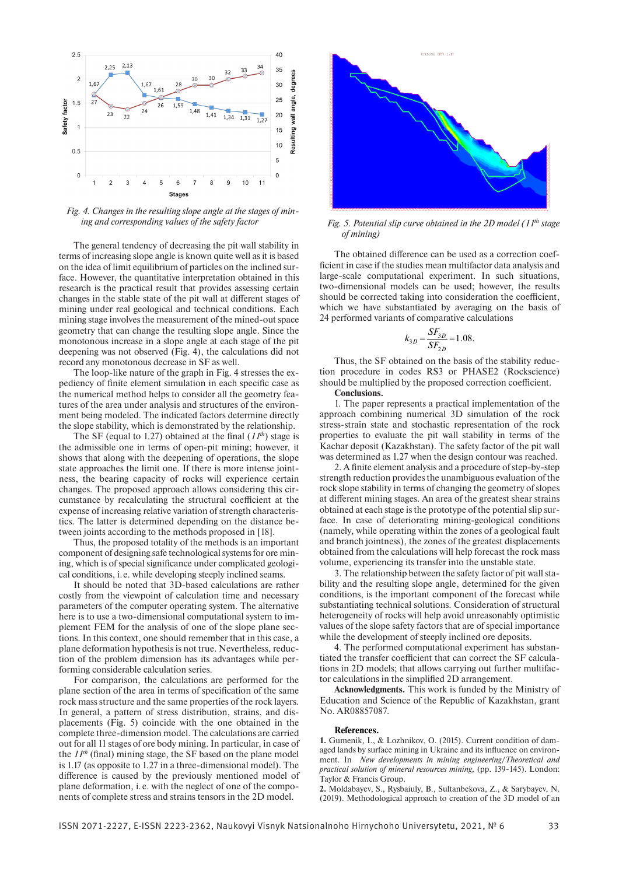

*Fig. 4. Changes in the resulting slope angle at the stages of mining and corresponding values of the safety factor Fig. 5. Potential slip curve obtained in the 2D model (11th stage* 

The general tendency of decreasing the pit wall stability in terms of increasing slope angle is known quite well as it is based on the idea of limit equilibrium of particles on the inclined surface. However, the quantitative interpretation obtained in this research is the practical result that provides assessing certain changes in the stable state of the pit wall at different stages of mining under real geological and technical conditions. Each mining stage involves the measurement of the mined-out space geometry that can change the resulting slope angle. Since the monotonous increase in a slope angle at each stage of the pit deepening was not observed (Fig. 4), the calculations did not record any monotonous decrease in SF as well.

The loop-like nature of the graph in Fig. 4 stresses the expediency of finite element simulation in each specific case as the numerical method helps to consider all the geometry features of the area under analysis and structures of the environment being modeled. The indicated factors determine directly the slope stability, which is demonstrated by the relationship.

The SF (equal to 1.27) obtained at the final  $(11<sup>th</sup>)$  stage is the admissible one in terms of open-pit mining; however, it shows that along with the deepening of operations, the slope state approaches the limit one. If there is more intense jointness, the bearing capacity of rocks will experience certain changes. The proposed approach allows considering this circumstance by recalculating the structural coefficient at the expense of increasing relative variation of strength characteristics. The latter is determined depending on the distance between joints according to the methods proposed in [18].

Thus, the proposed totality of the methods is an important component of designing safe technological systems for ore mining, which is of special significance under complicated geological conditions, i. e. while developing steeply inclined seams.

It should be noted that 3D-based calculations are rather costly from the viewpoint of calculation time and necessary parameters of the computer operating system. The alternative here is to use a two-dimensional computational system to implement FEM for the analysis of one of the slope plane sections. In this context, one should remember that in this case, a plane deformation hypothesis is not true. Nevertheless, reduction of the problem dimension has its advantages while performing considerable calculation series.

For comparison, the calculations are performed for the plane section of the area in terms of specification of the same rock mass structure and the same properties of the rock layers. In general, a pattern of stress distribution, strains, and displacements (Fig. 5) coincide with the one obtained in the complete three-dimension model. The calculations are carried out for all 11 stages of ore body mining. In particular, in case of the  $11<sup>th</sup>$  (final) mining stage, the SF based on the plane model is 1.17 (as opposite to 1.27 in a three-dimensional model). The difference is caused by the previously mentioned model of plane deformation, i. e. with the neglect of one of the components of complete stress and strains tensors in the 2D model.



*of mining)*

The obtained difference can be used as a correction coefficient in case if the studies mean multifactor data analysis and large-scale computational experiment. In such situations, two-dimensional models can be used; however, the results should be corrected taking into consideration the coefficient, which we have substantiated by averaging on the basis of 24 performed variants of comparative calculations

$$
k_{3D} = \frac{SF_{3D}}{SF_{2D}} = 1.08.
$$

Thus, the SF obtained on the basis of the stability reduction procedure in codes RS3 or PHASE2 (Rockscience) should be multiplied by the proposed correction coefficient. **Conclusions.**

1. The paper represents a practical implementation of the approach combining numerical 3D simulation of the rock stress-strain state and stochastic representation of the rock properties to evaluate the pit wall stability in terms of the Kachar deposit (Kazakhstan). The safety factor of the pit wall was determined as 1.27 when the design contour was reached.

2. A finite element analysis and a procedure of step-by-step strength reduction provides the unambiguous evaluation of the rock slope stability in terms of changing the geometry of slopes at different mining stages. An area of the greatest shear strains obtained at each stage is the prototype of the potential slip surface. In case of deteriorating mining-geological conditions (namely, while operating within the zones of a geological fault and branch jointness), the zones of the greatest displacements obtained from the calculations will help forecast the rock mass volume, experiencing its transfer into the unstable state.

3. The relationship between the safety factor of pit wall stability and the resulting slope angle, determined for the given conditions, is the important component of the forecast while substantiating technical solutions. Consideration of structural heterogeneity of rocks will help avoid unreasonably optimistic values of the slope safety factors that are of special importance while the development of steeply inclined ore deposits.

4. The performed computational experiment has substantiated the transfer coefficient that can correct the SF calculations in 2D models; that allows carrying out further multifactor calculations in the simplified 2D arrangement.

**Acknowledgments.** This work is funded by the Ministry of Education and Science of the Republic of Kazakhstan, grant No. AR08857087.

#### **References.**

**1.** Gumenik, I., & Lozhnikov, O. (2015). Current condition of damaged lands by surface mining in Ukraine and its influence on environment. In *New developments in mining engineering*/*Theoretical and practical solution of mineral resources mining,* (pp. 139-145). London: Taylor & Francis Group.

**2.** Moldabayev, S., Rysbaiuly, B., Sultanbekova, Z., & Sarybayev, N. (2019). Methodological approach to creation of the 3D model of an